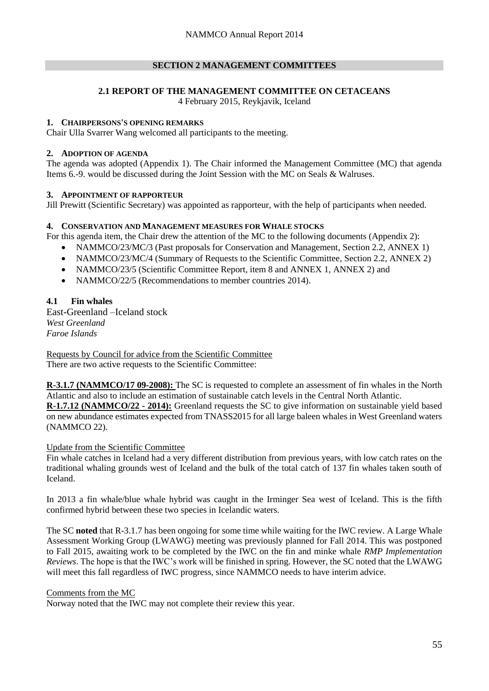## **SECTION 2 MANAGEMENT COMMITTEES**

# **2.1 REPORT OF THE MANAGEMENT COMMITTEE ON CETACEANS**

4 February 2015, Reykjavik, Iceland

#### **1. CHAIRPERSONS'S OPENING REMARKS**

Chair Ulla Svarrer Wang welcomed all participants to the meeting.

## **2. ADOPTION OF AGENDA**

The agenda was adopted (Appendix 1). The Chair informed the Management Committee (MC) that agenda Items 6.-9. would be discussed during the Joint Session with the MC on Seals & Walruses.

## **3. APPOINTMENT OF RAPPORTEUR**

Jill Prewitt (Scientific Secretary) was appointed as rapporteur, with the help of participants when needed.

## **4. CONSERVATION AND MANAGEMENT MEASURES FOR WHALE STOCKS**

For this agenda item, the Chair drew the attention of the MC to the following documents (Appendix 2):

- NAMMCO/23/MC/3 (Past proposals for Conservation and Management, Section 2.2, ANNEX 1)
- NAMMCO/23/MC/4 (Summary of Requests to the Scientific Committee, Section 2.2, ANNEX 2)
- NAMMCO/23/5 (Scientific Committee Report, item 8 and ANNEX 1, ANNEX 2) and
- NAMMCO/22/5 (Recommendations to member countries 2014).

# **4.1 Fin whales**

East-Greenland –Iceland stock *West Greenland Faroe Islands*

Requests by Council for advice from the Scientific Committee There are two active requests to the Scientific Committee:

**R-3.1.7 (NAMMCO/17 09-2008):** The SC is requested to complete an assessment of fin whales in the North Atlantic and also to include an estimation of sustainable catch levels in the Central North Atlantic.

**R-1.7.12 (NAMMCO/22 - 2014):** Greenland requests the SC to give information on sustainable yield based on new abundance estimates expected from TNASS2015 for all large baleen whales in West Greenland waters (NAMMCO 22).

# Update from the Scientific Committee

Fin whale catches in Iceland had a very different distribution from previous years, with low catch rates on the traditional whaling grounds west of Iceland and the bulk of the total catch of 137 fin whales taken south of Iceland.

In 2013 a fin whale/blue whale hybrid was caught in the Irminger Sea west of Iceland. This is the fifth confirmed hybrid between these two species in Icelandic waters.

The SC **noted** that R-3.1.7 has been ongoing for some time while waiting for the IWC review. A Large Whale Assessment Working Group (LWAWG) meeting was previously planned for Fall 2014. This was postponed to Fall 2015, awaiting work to be completed by the IWC on the fin and minke whale *RMP Implementation Reviews*. The hope is that the IWC's work will be finished in spring. However, the SC noted that the LWAWG will meet this fall regardless of IWC progress, since NAMMCO needs to have interim advice.

#### Comments from the MC

Norway noted that the IWC may not complete their review this year.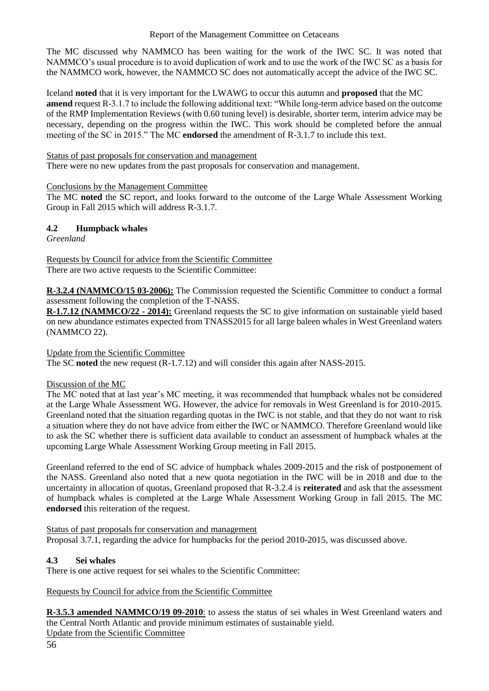## Report of the Management Committee on Cetaceans

The MC discussed why NAMMCO has been waiting for the work of the IWC SC. It was noted that NAMMCO's usual procedure is to avoid duplication of work and to use the work of the IWC SC as a basis for the NAMMCO work, however, the NAMMCO SC does not automatically accept the advice of the IWC SC.

Iceland **noted** that it is very important for the LWAWG to occur this autumn and **proposed** that the MC **amend** request R-3.1.7 to include the following additional text: "While long-term advice based on the outcome of the RMP Implementation Reviews (with 0.60 tuning level) is desirable, shorter term, interim advice may be necessary, depending on the progress within the IWC. This work should be completed before the annual meeting of the SC in 2015." The MC **endorsed** the amendment of R-3.1.7 to include this text.

## Status of past proposals for conservation and management

There were no new updates from the past proposals for conservation and management.

## Conclusions by the Management Committee

The MC **noted** the SC report, and looks forward to the outcome of the Large Whale Assessment Working Group in Fall 2015 which will address R-3.1.7.

# **4.2 Humpback whales**

*Greenland*

Requests by Council for advice from the Scientific Committee There are two active requests to the Scientific Committee:

**R-3.2.4 (NAMMCO/15 03-2006):** The Commission requested the Scientific Committee to conduct a formal assessment following the completion of the T-NASS.

**R-1.7.12 (NAMMCO/22 - 2014):** Greenland requests the SC to give information on sustainable yield based on new abundance estimates expected from TNASS2015 for all large baleen whales in West Greenland waters (NAMMCO 22).

Update from the Scientific Committee

The SC **noted** the new request (R-1.7.12) and will consider this again after NASS-2015.

# Discussion of the MC

The MC noted that at last year's MC meeting, it was recommended that humpback whales not be considered at the Large Whale Assessment WG. However, the advice for removals in West Greenland is for 2010-2015. Greenland noted that the situation regarding quotas in the IWC is not stable, and that they do not want to risk a situation where they do not have advice from either the IWC or NAMMCO. Therefore Greenland would like to ask the SC whether there is sufficient data available to conduct an assessment of humpback whales at the upcoming Large Whale Assessment Working Group meeting in Fall 2015.

Greenland referred to the end of SC advice of humpback whales 2009-2015 and the risk of postponement of the NASS. Greenland also noted that a new quota negotiation in the IWC will be in 2018 and due to the uncertainty in allocation of quotas, Greenland proposed that R-3.2.4 is **reiterated** and ask that the assessment of humpback whales is completed at the Large Whale Assessment Working Group in fall 2015. The MC **endorsed** this reiteration of the request.

Status of past proposals for conservation and management Proposal 3.7.1, regarding the advice for humpbacks for the period 2010-2015, was discussed above.

# **4.3 Sei whales**

There is one active request for sei whales to the Scientific Committee:

# Requests by Council for advice from the Scientific Committee

**R-3.5.3 amended NAMMCO/19 09-2010**: to assess the status of sei whales in West Greenland waters and the Central North Atlantic and provide minimum estimates of sustainable yield. Update from the Scientific Committee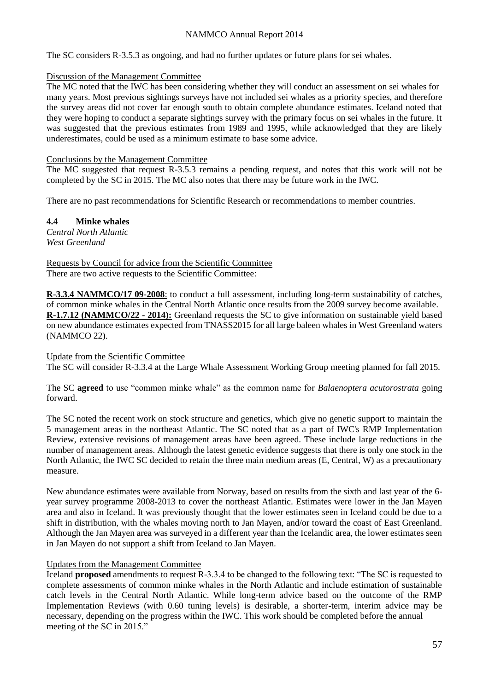## NAMMCO Annual Report 2014

The SC considers R-3.5.3 as ongoing, and had no further updates or future plans for sei whales.

#### Discussion of the Management Committee

The MC noted that the IWC has been considering whether they will conduct an assessment on sei whales for many years. Most previous sightings surveys have not included sei whales as a priority species, and therefore the survey areas did not cover far enough south to obtain complete abundance estimates. Iceland noted that they were hoping to conduct a separate sightings survey with the primary focus on sei whales in the future. It was suggested that the previous estimates from 1989 and 1995, while acknowledged that they are likely underestimates, could be used as a minimum estimate to base some advice.

## Conclusions by the Management Committee

The MC suggested that request R-3.5.3 remains a pending request, and notes that this work will not be completed by the SC in 2015. The MC also notes that there may be future work in the IWC.

There are no past recommendations for Scientific Research or recommendations to member countries.

**4.4 Minke whales** *Central North Atlantic West Greenland*

Requests by Council for advice from the Scientific Committee There are two active requests to the Scientific Committee:

**R-3.3.4 NAMMCO/17 09-2008**: to conduct a full assessment, including long-term sustainability of catches, of common minke whales in the Central North Atlantic once results from the 2009 survey become available. **R-1.7.12 (NAMMCO/22 - 2014):** Greenland requests the SC to give information on sustainable yield based on new abundance estimates expected from TNASS2015 for all large baleen whales in West Greenland waters (NAMMCO 22).

#### Update from the Scientific Committee

The SC will consider R-3.3.4 at the Large Whale Assessment Working Group meeting planned for fall 2015.

The SC **agreed** to use "common minke whale" as the common name for *Balaenoptera acutorostrata* going forward.

The SC noted the recent work on stock structure and genetics, which give no genetic support to maintain the 5 management areas in the northeast Atlantic. The SC noted that as a part of IWC's RMP Implementation Review, extensive revisions of management areas have been agreed. These include large reductions in the number of management areas. Although the latest genetic evidence suggests that there is only one stock in the North Atlantic, the IWC SC decided to retain the three main medium areas (E, Central, W) as a precautionary measure.

New abundance estimates were available from Norway, based on results from the sixth and last year of the 6 year survey programme 2008-2013 to cover the northeast Atlantic. Estimates were lower in the Jan Mayen area and also in Iceland. It was previously thought that the lower estimates seen in Iceland could be due to a shift in distribution, with the whales moving north to Jan Mayen, and/or toward the coast of East Greenland. Although the Jan Mayen area was surveyed in a different year than the Icelandic area, the lower estimates seen in Jan Mayen do not support a shift from Iceland to Jan Mayen.

# Updates from the Management Committee

Iceland **proposed** amendments to request R-3.3.4 to be changed to the following text: "The SC is requested to complete assessments of common minke whales in the North Atlantic and include estimation of sustainable catch levels in the Central North Atlantic. While long-term advice based on the outcome of the RMP Implementation Reviews (with 0.60 tuning levels) is desirable, a shorter-term, interim advice may be necessary, depending on the progress within the IWC. This work should be completed before the annual meeting of the SC in 2015."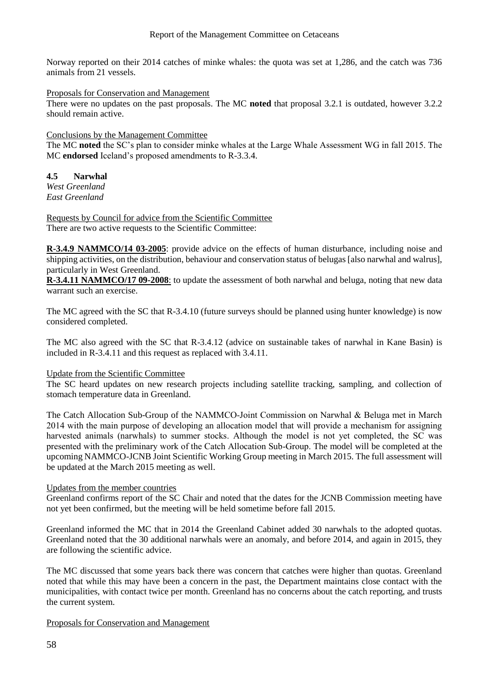Norway reported on their 2014 catches of minke whales: the quota was set at 1,286, and the catch was 736 animals from 21 vessels.

Proposals for Conservation and Management

There were no updates on the past proposals. The MC **noted** that proposal 3.2.1 is outdated, however 3.2.2 should remain active.

Conclusions by the Management Committee

The MC **noted** the SC's plan to consider minke whales at the Large Whale Assessment WG in fall 2015. The MC **endorsed** Iceland's proposed amendments to R-3.3.4.

# **4.5 Narwhal**

*West Greenland East Greenland*

Requests by Council for advice from the Scientific Committee There are two active requests to the Scientific Committee:

**R-3.4.9 NAMMCO/14 03-2005**: provide advice on the effects of human disturbance, including noise and shipping activities, on the distribution, behaviour and conservation status of belugas [also narwhal and walrus], particularly in West Greenland.

**R-3.4.11 NAMMCO/17 09-2008**: to update the assessment of both narwhal and beluga, noting that new data warrant such an exercise.

The MC agreed with the SC that R-3.4.10 (future surveys should be planned using hunter knowledge) is now considered completed.

The MC also agreed with the SC that R-3.4.12 (advice on sustainable takes of narwhal in Kane Basin) is included in R-3.4.11 and this request as replaced with 3.4.11.

#### Update from the Scientific Committee

The SC heard updates on new research projects including satellite tracking, sampling, and collection of stomach temperature data in Greenland.

The Catch Allocation Sub-Group of the NAMMCO-Joint Commission on Narwhal & Beluga met in March 2014 with the main purpose of developing an allocation model that will provide a mechanism for assigning harvested animals (narwhals) to summer stocks. Although the model is not yet completed, the SC was presented with the preliminary work of the Catch Allocation Sub-Group. The model will be completed at the upcoming NAMMCO-JCNB Joint Scientific Working Group meeting in March 2015. The full assessment will be updated at the March 2015 meeting as well.

# Updates from the member countries

Greenland confirms report of the SC Chair and noted that the dates for the JCNB Commission meeting have not yet been confirmed, but the meeting will be held sometime before fall 2015.

Greenland informed the MC that in 2014 the Greenland Cabinet added 30 narwhals to the adopted quotas. Greenland noted that the 30 additional narwhals were an anomaly, and before 2014, and again in 2015, they are following the scientific advice.

The MC discussed that some years back there was concern that catches were higher than quotas. Greenland noted that while this may have been a concern in the past, the Department maintains close contact with the municipalities, with contact twice per month. Greenland has no concerns about the catch reporting, and trusts the current system.

#### Proposals for Conservation and Management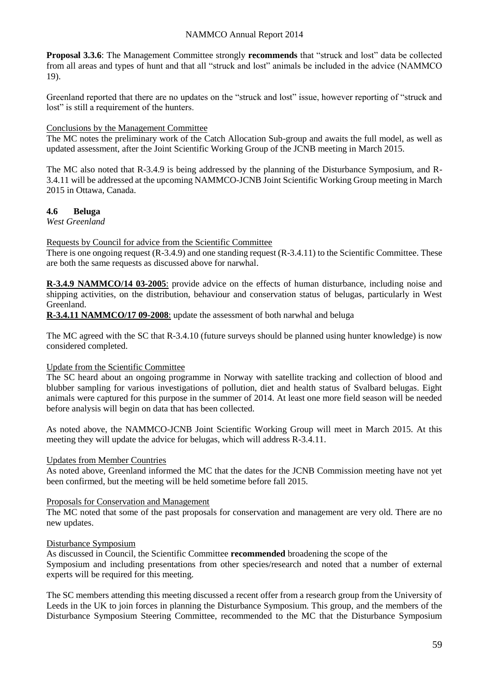**Proposal 3.3.6**: The Management Committee strongly **recommends** that "struck and lost" data be collected from all areas and types of hunt and that all "struck and lost" animals be included in the advice (NAMMCO 19).

Greenland reported that there are no updates on the "struck and lost" issue, however reporting of "struck and lost" is still a requirement of the hunters.

#### Conclusions by the Management Committee

The MC notes the preliminary work of the Catch Allocation Sub-group and awaits the full model, as well as updated assessment, after the Joint Scientific Working Group of the JCNB meeting in March 2015.

The MC also noted that R-3.4.9 is being addressed by the planning of the Disturbance Symposium, and R-3.4.11 will be addressed at the upcoming NAMMCO-JCNB Joint Scientific Working Group meeting in March 2015 in Ottawa, Canada.

## **4.6 Beluga**

*West Greenland*

Requests by Council for advice from the Scientific Committee

There is one ongoing request (R-3.4.9) and one standing request (R-3.4.11) to the Scientific Committee. These are both the same requests as discussed above for narwhal.

**R-3.4.9 NAMMCO/14 03-2005**: provide advice on the effects of human disturbance, including noise and shipping activities, on the distribution, behaviour and conservation status of belugas, particularly in West Greenland.

**R-3.4.11 NAMMCO/17 09-2008**: update the assessment of both narwhal and beluga

The MC agreed with the SC that R-3.4.10 (future surveys should be planned using hunter knowledge) is now considered completed.

#### Update from the Scientific Committee

The SC heard about an ongoing programme in Norway with satellite tracking and collection of blood and blubber sampling for various investigations of pollution, diet and health status of Svalbard belugas. Eight animals were captured for this purpose in the summer of 2014. At least one more field season will be needed before analysis will begin on data that has been collected.

As noted above, the NAMMCO-JCNB Joint Scientific Working Group will meet in March 2015. At this meeting they will update the advice for belugas, which will address R-3.4.11.

#### Updates from Member Countries

As noted above, Greenland informed the MC that the dates for the JCNB Commission meeting have not yet been confirmed, but the meeting will be held sometime before fall 2015.

#### Proposals for Conservation and Management

The MC noted that some of the past proposals for conservation and management are very old. There are no new updates.

#### Disturbance Symposium

As discussed in Council, the Scientific Committee **recommended** broadening the scope of the Symposium and including presentations from other species/research and noted that a number of external experts will be required for this meeting.

The SC members attending this meeting discussed a recent offer from a research group from the University of Leeds in the UK to join forces in planning the Disturbance Symposium. This group, and the members of the Disturbance Symposium Steering Committee, recommended to the MC that the Disturbance Symposium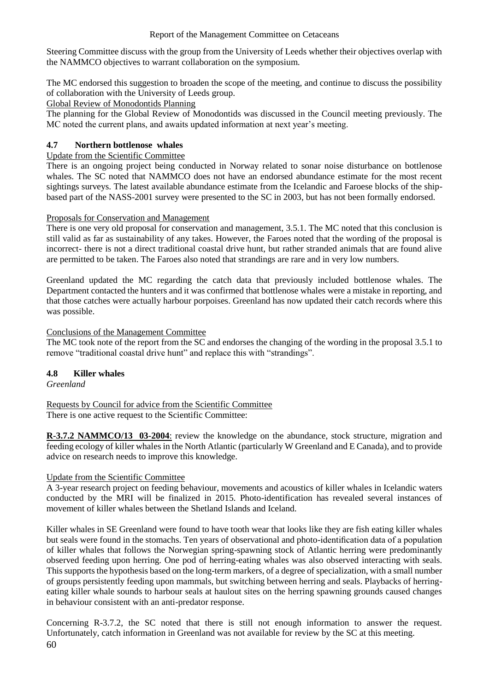Steering Committee discuss with the group from the University of Leeds whether their objectives overlap with the NAMMCO objectives to warrant collaboration on the symposium.

The MC endorsed this suggestion to broaden the scope of the meeting, and continue to discuss the possibility of collaboration with the University of Leeds group.

Global Review of Monodontids Planning

The planning for the Global Review of Monodontids was discussed in the Council meeting previously. The MC noted the current plans, and awaits updated information at next year's meeting.

# **4.7 Northern bottlenose whales**

# Update from the Scientific Committee

There is an ongoing project being conducted in Norway related to sonar noise disturbance on bottlenose whales. The SC noted that NAMMCO does not have an endorsed abundance estimate for the most recent sightings surveys. The latest available abundance estimate from the Icelandic and Faroese blocks of the shipbased part of the NASS-2001 survey were presented to the SC in 2003, but has not been formally endorsed.

# Proposals for Conservation and Management

There is one very old proposal for conservation and management, 3.5.1. The MC noted that this conclusion is still valid as far as sustainability of any takes. However, the Faroes noted that the wording of the proposal is incorrect- there is not a direct traditional coastal drive hunt, but rather stranded animals that are found alive are permitted to be taken. The Faroes also noted that strandings are rare and in very low numbers.

Greenland updated the MC regarding the catch data that previously included bottlenose whales. The Department contacted the hunters and it was confirmed that bottlenose whales were a mistake in reporting, and that those catches were actually harbour porpoises. Greenland has now updated their catch records where this was possible.

# Conclusions of the Management Committee

The MC took note of the report from the SC and endorses the changing of the wording in the proposal 3.5.1 to remove "traditional coastal drive hunt" and replace this with "strandings".

# **4.8 Killer whales**

*Greenland*

Requests by Council for advice from the Scientific Committee There is one active request to the Scientific Committee:

**R-3.7.2 NAMMCO/13 03-2004**: review the knowledge on the abundance, stock structure, migration and feeding ecology of killer whales in the North Atlantic (particularly W Greenland and E Canada), and to provide advice on research needs to improve this knowledge.

# Update from the Scientific Committee

A 3-year research project on feeding behaviour, movements and acoustics of killer whales in Icelandic waters conducted by the MRI will be finalized in 2015. Photo-identification has revealed several instances of movement of killer whales between the Shetland Islands and Iceland.

Killer whales in SE Greenland were found to have tooth wear that looks like they are fish eating killer whales but seals were found in the stomachs. Ten years of observational and photo-identification data of a population of killer whales that follows the Norwegian spring-spawning stock of Atlantic herring were predominantly observed feeding upon herring. One pod of herring-eating whales was also observed interacting with seals. This supports the hypothesis based on the long-term markers, of a degree of specialization, with a small number of groups persistently feeding upon mammals, but switching between herring and seals. Playbacks of herringeating killer whale sounds to harbour seals at haulout sites on the herring spawning grounds caused changes in behaviour consistent with an anti-predator response.

60 Concerning R-3.7.2, the SC noted that there is still not enough information to answer the request. Unfortunately, catch information in Greenland was not available for review by the SC at this meeting.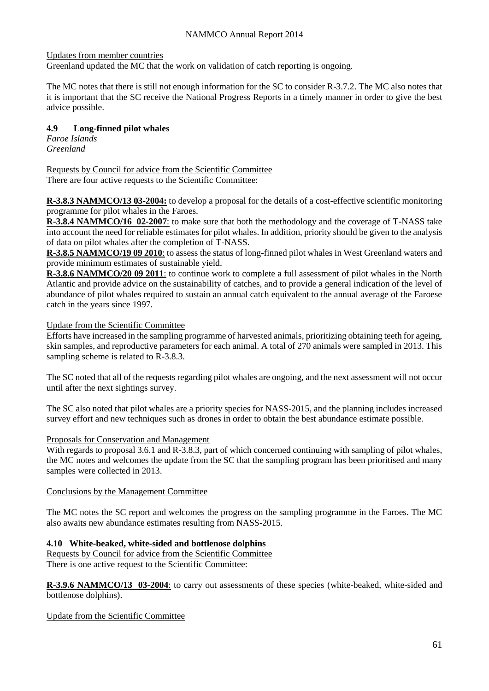Updates from member countries

Greenland updated the MC that the work on validation of catch reporting is ongoing.

The MC notes that there is still not enough information for the SC to consider R-3.7.2. The MC also notes that it is important that the SC receive the National Progress Reports in a timely manner in order to give the best advice possible.

# **4.9 Long-finned pilot whales**

*Faroe Islands Greenland*

Requests by Council for advice from the Scientific Committee There are four active requests to the Scientific Committee:

**R-3.8.3 NAMMCO/13 03-2004:** to develop a proposal for the details of a cost-effective scientific monitoring programme for pilot whales in the Faroes.

**R-3.8.4 NAMMCO/16 02-2007**: to make sure that both the methodology and the coverage of T-NASS take into account the need for reliable estimates for pilot whales. In addition, priority should be given to the analysis of data on pilot whales after the completion of T-NASS.

**R-3.8.5 NAMMCO/19 09 2010**: to assess the status of long-finned pilot whales in West Greenland waters and provide minimum estimates of sustainable yield.

**R-3.8.6 NAMMCO/20 09 2011**: to continue work to complete a full assessment of pilot whales in the North Atlantic and provide advice on the sustainability of catches, and to provide a general indication of the level of abundance of pilot whales required to sustain an annual catch equivalent to the annual average of the Faroese catch in the years since 1997.

## Update from the Scientific Committee

Efforts have increased in the sampling programme of harvested animals, prioritizing obtaining teeth for ageing, skin samples, and reproductive parameters for each animal. A total of 270 animals were sampled in 2013. This sampling scheme is related to R-3.8.3.

The SC noted that all of the requests regarding pilot whales are ongoing, and the next assessment will not occur until after the next sightings survey.

The SC also noted that pilot whales are a priority species for NASS-2015, and the planning includes increased survey effort and new techniques such as drones in order to obtain the best abundance estimate possible.

#### Proposals for Conservation and Management

With regards to proposal 3.6.1 and R-3.8.3, part of which concerned continuing with sampling of pilot whales, the MC notes and welcomes the update from the SC that the sampling program has been prioritised and many samples were collected in 2013.

#### Conclusions by the Management Committee

The MC notes the SC report and welcomes the progress on the sampling programme in the Faroes. The MC also awaits new abundance estimates resulting from NASS-2015.

#### **4.10 White-beaked, white-sided and bottlenose dolphins**

Requests by Council for advice from the Scientific Committee There is one active request to the Scientific Committee:

**R-3.9.6 NAMMCO/13 03-2004**: to carry out assessments of these species (white-beaked, white-sided and bottlenose dolphins).

#### Update from the Scientific Committee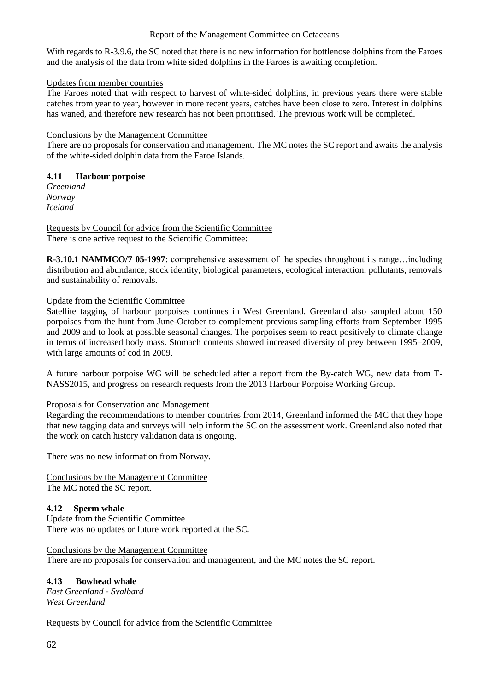## Report of the Management Committee on Cetaceans

With regards to R-3.9.6, the SC noted that there is no new information for bottlenose dolphins from the Faroes and the analysis of the data from white sided dolphins in the Faroes is awaiting completion.

#### Updates from member countries

The Faroes noted that with respect to harvest of white-sided dolphins, in previous years there were stable catches from year to year, however in more recent years, catches have been close to zero. Interest in dolphins has waned, and therefore new research has not been prioritised. The previous work will be completed.

## Conclusions by the Management Committee

There are no proposals for conservation and management. The MC notes the SC report and awaits the analysis of the white-sided dolphin data from the Faroe Islands.

# **4.11 Harbour porpoise**

*Greenland Norway Iceland*

Requests by Council for advice from the Scientific Committee There is one active request to the Scientific Committee:

**R-3.10.1 NAMMCO/7 05-1997**: comprehensive assessment of the species throughout its range…including distribution and abundance, stock identity, biological parameters, ecological interaction, pollutants, removals and sustainability of removals.

# Update from the Scientific Committee

Satellite tagging of harbour porpoises continues in West Greenland. Greenland also sampled about 150 porpoises from the hunt from June-October to complement previous sampling efforts from September 1995 and 2009 and to look at possible seasonal changes. The porpoises seem to react positively to climate change in terms of increased body mass. Stomach contents showed increased diversity of prey between 1995–2009, with large amounts of cod in 2009.

A future harbour porpoise WG will be scheduled after a report from the By-catch WG, new data from T-NASS2015, and progress on research requests from the 2013 Harbour Porpoise Working Group.

# Proposals for Conservation and Management

Regarding the recommendations to member countries from 2014, Greenland informed the MC that they hope that new tagging data and surveys will help inform the SC on the assessment work. Greenland also noted that the work on catch history validation data is ongoing.

There was no new information from Norway.

Conclusions by the Management Committee The MC noted the SC report.

# **4.12 Sperm whale**

Update from the Scientific Committee There was no updates or future work reported at the SC.

# Conclusions by the Management Committee

There are no proposals for conservation and management, and the MC notes the SC report.

# **4.13 Bowhead whale**

*East Greenland - Svalbard West Greenland*

Requests by Council for advice from the Scientific Committee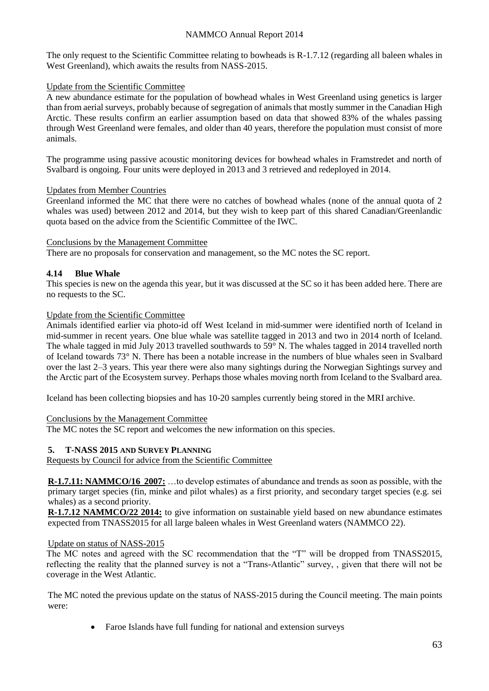## NAMMCO Annual Report 2014

The only request to the Scientific Committee relating to bowheads is R-1.7.12 (regarding all baleen whales in West Greenland), which awaits the results from NASS-2015.

#### Update from the Scientific Committee

A new abundance estimate for the population of bowhead whales in West Greenland using genetics is larger than from aerial surveys, probably because of segregation of animals that mostly summer in the Canadian High Arctic. These results confirm an earlier assumption based on data that showed 83% of the whales passing through West Greenland were females, and older than 40 years, therefore the population must consist of more animals.

The programme using passive acoustic monitoring devices for bowhead whales in Framstredet and north of Svalbard is ongoing. Four units were deployed in 2013 and 3 retrieved and redeployed in 2014.

## Updates from Member Countries

Greenland informed the MC that there were no catches of bowhead whales (none of the annual quota of 2 whales was used) between 2012 and 2014, but they wish to keep part of this shared Canadian/Greenlandic quota based on the advice from the Scientific Committee of the IWC.

## Conclusions by the Management Committee

There are no proposals for conservation and management, so the MC notes the SC report.

# **4.14 Blue Whale**

This species is new on the agenda this year, but it was discussed at the SC so it has been added here. There are no requests to the SC.

## Update from the Scientific Committee

Animals identified earlier via photo-id off West Iceland in mid-summer were identified north of Iceland in mid-summer in recent years. One blue whale was satellite tagged in 2013 and two in 2014 north of Iceland. The whale tagged in mid July 2013 travelled southwards to 59° N. The whales tagged in 2014 travelled north of Iceland towards 73° N. There has been a notable increase in the numbers of blue whales seen in Svalbard over the last 2–3 years. This year there were also many sightings during the Norwegian Sightings survey and the Arctic part of the Ecosystem survey. Perhaps those whales moving north from Iceland to the Svalbard area.

Iceland has been collecting biopsies and has 10-20 samples currently being stored in the MRI archive.

# Conclusions by the Management Committee

The MC notes the SC report and welcomes the new information on this species.

# **5. T-NASS 2015 AND SURVEY PLANNING**

Requests by Council for advice from the Scientific Committee

**R-1.7.11: NAMMCO/16 2007:** …to develop estimates of abundance and trends as soon as possible, with the primary target species (fin, minke and pilot whales) as a first priority, and secondary target species (e.g. sei whales) as a second priority.

**R-1.7.12 NAMMCO/22 2014:** to give information on sustainable yield based on new abundance estimates expected from TNASS2015 for all large baleen whales in West Greenland waters (NAMMCO 22).

#### Update on status of NASS-2015

The MC notes and agreed with the SC recommendation that the "T" will be dropped from TNASS2015, reflecting the reality that the planned survey is not a "Trans-Atlantic" survey, , given that there will not be coverage in the West Atlantic.

The MC noted the previous update on the status of NASS-2015 during the Council meeting. The main points were:

Faroe Islands have full funding for national and extension surveys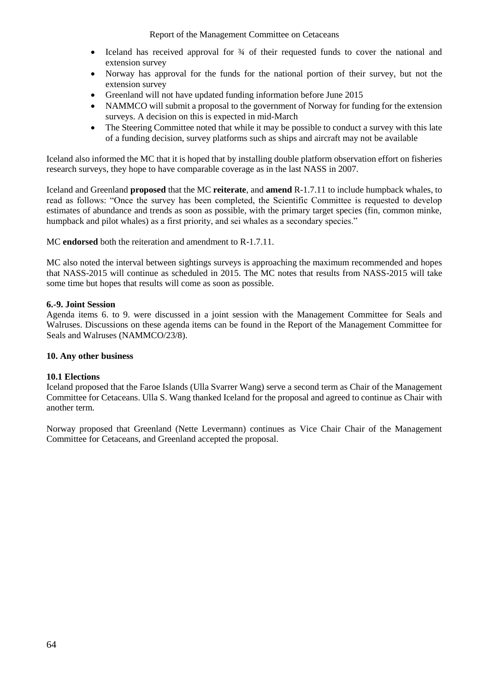Report of the Management Committee on Cetaceans

- Iceland has received approval for ¾ of their requested funds to cover the national and extension survey
- Norway has approval for the funds for the national portion of their survey, but not the extension survey
- Greenland will not have updated funding information before June 2015
- NAMMCO will submit a proposal to the government of Norway for funding for the extension surveys. A decision on this is expected in mid-March
- The Steering Committee noted that while it may be possible to conduct a survey with this late of a funding decision, survey platforms such as ships and aircraft may not be available

Iceland also informed the MC that it is hoped that by installing double platform observation effort on fisheries research surveys, they hope to have comparable coverage as in the last NASS in 2007.

Iceland and Greenland **proposed** that the MC **reiterate**, and **amend** R-1.7.11 to include humpback whales, to read as follows: "Once the survey has been completed, the Scientific Committee is requested to develop estimates of abundance and trends as soon as possible, with the primary target species (fin, common minke, humpback and pilot whales) as a first priority, and sei whales as a secondary species."

MC **endorsed** both the reiteration and amendment to R-1.7.11.

MC also noted the interval between sightings surveys is approaching the maximum recommended and hopes that NASS-2015 will continue as scheduled in 2015. The MC notes that results from NASS-2015 will take some time but hopes that results will come as soon as possible.

## **6.-9. Joint Session**

Agenda items 6. to 9. were discussed in a joint session with the Management Committee for Seals and Walruses. Discussions on these agenda items can be found in the Report of the Management Committee for Seals and Walruses (NAMMCO/23/8).

#### **10. Any other business**

#### **10.1 Elections**

Iceland proposed that the Faroe Islands (Ulla Svarrer Wang) serve a second term as Chair of the Management Committee for Cetaceans. Ulla S. Wang thanked Iceland for the proposal and agreed to continue as Chair with another term.

Norway proposed that Greenland (Nette Levermann) continues as Vice Chair Chair of the Management Committee for Cetaceans, and Greenland accepted the proposal.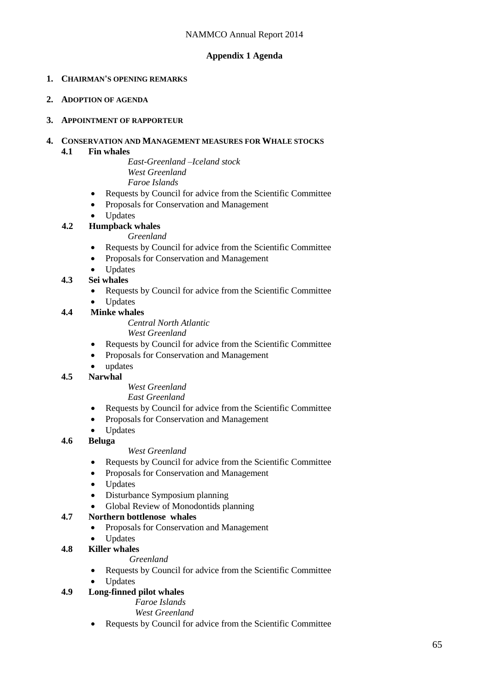# **Appendix 1 Agenda**

## **1. CHAIRMAN'S OPENING REMARKS**

**2. ADOPTION OF AGENDA**

#### **3. APPOINTMENT OF RAPPORTEUR**

# **4. CONSERVATION AND MANAGEMENT MEASURES FOR WHALE STOCKS**

## **4.1 Fin whales**

*East-Greenland –Iceland stock West Greenland Faroe Islands*

- Requests by Council for advice from the Scientific Committee
- Proposals for Conservation and Management
- Updates
- **4.2 Humpback whales**

*Greenland*

- Requests by Council for advice from the Scientific Committee
- Proposals for Conservation and Management
- Updates
- **4.3 Sei whales**
	- Requests by Council for advice from the Scientific Committee
	- Updates

# **4.4 Minke whales**

*Central North Atlantic*

*West Greenland*

- Requests by Council for advice from the Scientific Committee
- Proposals for Conservation and Management
- updates

# **4.5 Narwhal**

#### *West Greenland East Greenland*

- Requests by Council for advice from the Scientific Committee
- Proposals for Conservation and Management
- Updates

# **4.6 Beluga**

#### *West Greenland*

- Requests by Council for advice from the Scientific Committee
- Proposals for Conservation and Management
- Updates
- Disturbance Symposium planning
- Global Review of Monodontids planning

# **4.7 Northern bottlenose whales**

- Proposals for Conservation and Management
- Updates

# **4.8 Killer whales**

- *Greenland*
- Requests by Council for advice from the Scientific Committee
- Updates

# **4.9 Long-finned pilot whales**

*Faroe Islands*

*West Greenland*

• Requests by Council for advice from the Scientific Committee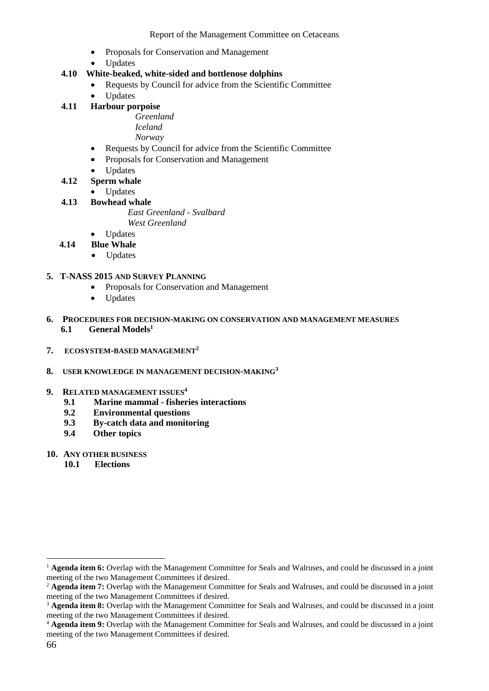- Proposals for Conservation and Management
- Updates

## **4.10 White-beaked, white-sided and bottlenose dolphins**

- Requests by Council for advice from the Scientific Committee
- Updates
- **4.11 Harbour porpoise**

*Greenland Iceland*

*Norway*

- Requests by Council for advice from the Scientific Committee
- Proposals for Conservation and Management
- Updates

## **4.12 Sperm whale**

- Updates
- **4.13 Bowhead whale**

*East Greenland - Svalbard West Greenland*

- Updates
- **4.14 Blue Whale**
	- Updates

#### **5. T-NASS 2015 AND SURVEY PLANNING**

- Proposals for Conservation and Management
- Updates
- **6. PROCEDURES FOR DECISION-MAKING ON CONSERVATION AND MANAGEMENT MEASURES 6.1 General Models<sup>1</sup>**
- **7. ECOSYSTEM-BASED MANAGEMENT<sup>2</sup>**

#### **8. USER KNOWLEDGE IN MANAGEMENT DECISION-MAKING<sup>3</sup>**

- **9. RELATED MANAGEMENT ISSUES<sup>4</sup>**
	- **9.1 Marine mammal - fisheries interactions**
	- **9.2 Environmental questions**
	- **9.3 By-catch data and monitoring**
	- **9.4 Other topics**

## **10. ANY OTHER BUSINESS**

**10.1 Elections**

1

<sup>&</sup>lt;sup>1</sup> **Agenda item 6:** Overlap with the Management Committee for Seals and Walruses, and could be discussed in a joint meeting of the two Management Committees if desired.

<sup>&</sup>lt;sup>2</sup> **Agenda item 7:** Overlap with the Management Committee for Seals and Walruses, and could be discussed in a joint meeting of the two Management Committees if desired.

<sup>&</sup>lt;sup>3</sup> Agenda item 8: Overlap with the Management Committee for Seals and Walruses, and could be discussed in a joint meeting of the two Management Committees if desired.

<sup>4</sup> **Agenda item 9:** Overlap with the Management Committee for Seals and Walruses, and could be discussed in a joint meeting of the two Management Committees if desired.